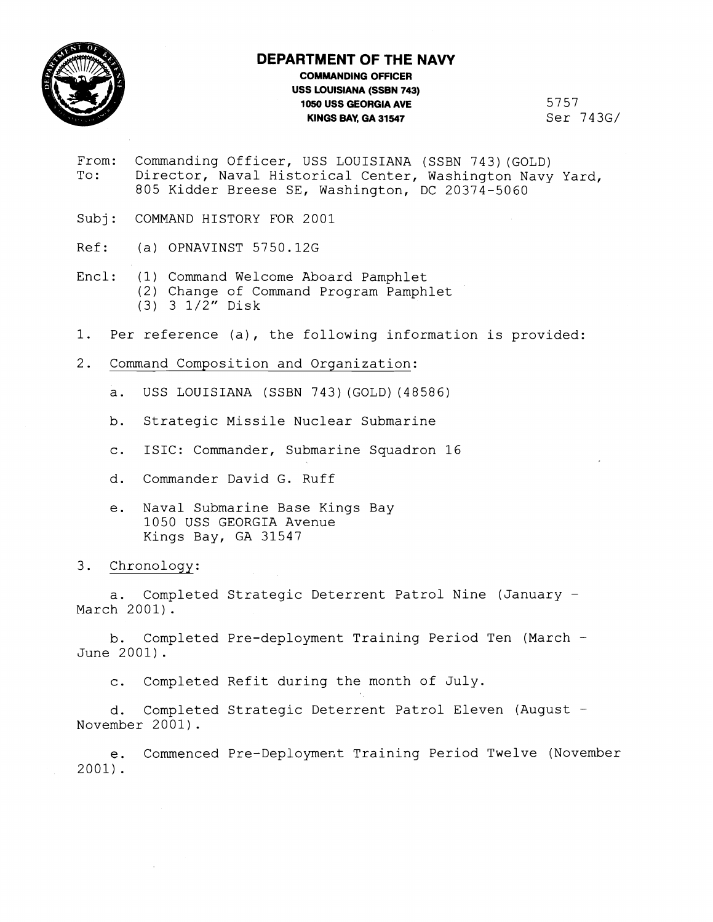

## **DEPARTMENT OF THE NAVY**

## **COMMANDING OFFICER USS LOUISIANA (SSBN 743) 1050 USS GEORGIA AVE**<br>**KINGS BAY, GA 31547** Ser 743G/ **KINGS BAY, GA 31547**

- From: Commanding Officer, USS LOUISIANA (SSBN 743)(GOLD)<br>To: Director, Naval Historical Center, Washington Navy Director, Naval Historical Center, Washington Navy Yard, 805 Kidder Breese SE, Washington, DC 20374-5060
- Subj: COMMAND HISTORY FOR 2001
- Ref: (a) OPNAVINST 5750.12G
- Encl: (1) Command Welcome Aboard Pamphlet (2) Change of Command Program Pamphlet (3) 3 1/2" Disk
- 1. Per reference (a), the following information is provided:
- 2. Command Composition and Organization:
	- a. USS LOUISIANA (SSBN 743) (GOLD) (48586)
	- b. Strategic Missile Nuclear Submarine
	- c. ISIC: Commander, Submarine Squadron 16
	- d. Commander David G. Ruff
	- e. Naval Submarine Base Kings Bay 1050 USS GEORGIA Avenue Kings Bay, GA 31547

## 3. Chronology:

a. Completed Strategic Deterrent Patrol Nine (January - March 2001).

b. Completed Pre-deployment Training Period Ten (March - June 2001).

c. Completed Refit during the month of July.

d. Completed Strategic Deterrent Patrol Eleven (August -November 2001) .

e. Commenced Pre-Deployment Training Period Twelve (November 2001).